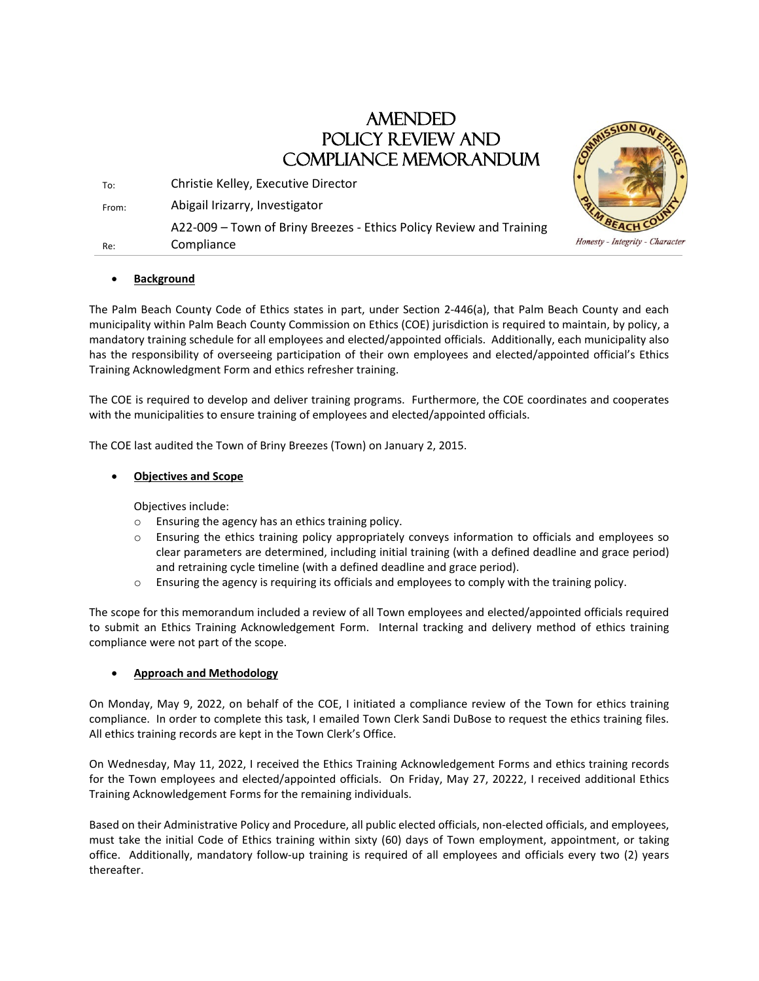# AMENDED POLICY REVIEW AND COMPLIANCE MEMORANDUM

| Re:   | A22-009 – Town of Briny Breezes - Ethics Policy Review and Training<br>Compliance |  |
|-------|-----------------------------------------------------------------------------------|--|
| From: | Abigail Irizarry, Investigator                                                    |  |
| To:   | Christie Kelley, Executive Director                                               |  |

## • **Background**

The Palm Beach County Code of Ethics states in part, under Section 2-446(a), that Palm Beach County and each municipality within Palm Beach County Commission on Ethics (COE) jurisdiction is required to maintain, by policy, a mandatory training schedule for all employees and elected/appointed officials. Additionally, each municipality also has the responsibility of overseeing participation of their own employees and elected/appointed official's Ethics Training Acknowledgment Form and ethics refresher training.

The COE is required to develop and deliver training programs. Furthermore, the COE coordinates and cooperates with the municipalities to ensure training of employees and elected/appointed officials.

The COE last audited the Town of Briny Breezes (Town) on January 2, 2015.

#### • **Objectives and Scope**

Objectives include:

- o Ensuring the agency has an ethics training policy.
- o Ensuring the ethics training policy appropriately conveys information to officials and employees so clear parameters are determined, including initial training (with a defined deadline and grace period) and retraining cycle timeline (with a defined deadline and grace period).
- $\circ$  Ensuring the agency is requiring its officials and employees to comply with the training policy.

The scope for this memorandum included a review of all Town employees and elected/appointed officials required to submit an Ethics Training Acknowledgement Form. Internal tracking and delivery method of ethics training compliance were not part of the scope.

## • **Approach and Methodology**

On Monday, May 9, 2022, on behalf of the COE, I initiated a compliance review of the Town for ethics training compliance. In order to complete this task, I emailed Town Clerk Sandi DuBose to request the ethics training files. All ethics training records are kept in the Town Clerk's Office.

On Wednesday, May 11, 2022, I received the Ethics Training Acknowledgement Forms and ethics training records for the Town employees and elected/appointed officials. On Friday, May 27, 20222, I received additional Ethics Training Acknowledgement Forms for the remaining individuals.

Based on their Administrative Policy and Procedure, all public elected officials, non-elected officials, and employees, must take the initial Code of Ethics training within sixty (60) days of Town employment, appointment, or taking office. Additionally, mandatory follow-up training is required of all employees and officials every two (2) years thereafter.



Honesty - Integrity - Character